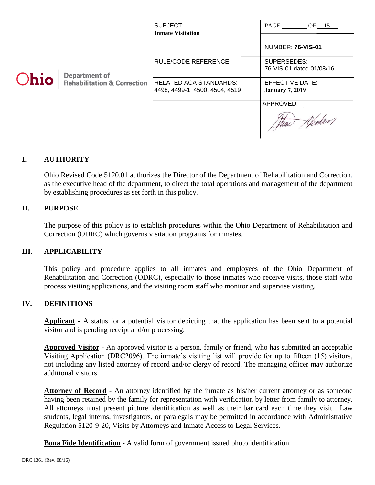|             |                                                                | SUBJECT:<br><b>Inmate Visitation</b>                             | $PAGE \_1 \_0F \_15 \_1$                         |
|-------------|----------------------------------------------------------------|------------------------------------------------------------------|--------------------------------------------------|
| <b>Ohio</b> | <b>Department of</b><br><b>Rehabilitation &amp; Correction</b> |                                                                  | <b>NUMBER: 76-VIS-01</b>                         |
|             |                                                                | RULE/CODE REFERENCE:                                             | SUPERSEDES:<br>76-VIS-01 dated 01/08/16          |
|             |                                                                | <b>RELATED ACA STANDARDS:</b><br> 4498, 4499-1, 4500, 4504, 4519 | <b>EFFECTIVE DATE:</b><br><b>January 7, 2019</b> |
|             |                                                                |                                                                  | APPROVED:<br>Mur                                 |

### **I. AUTHORITY**

Ohio Revised Code 5120.01 authorizes the Director of the Department of Rehabilitation and Correction, as the executive head of the department, to direct the total operations and management of the department by establishing procedures as set forth in this policy.

#### **II. PURPOSE**

The purpose of this policy is to establish procedures within the Ohio Department of Rehabilitation and Correction (ODRC) which governs visitation programs for inmates.

#### **III. APPLICABILITY**

This policy and procedure applies to all inmates and employees of the Ohio Department of Rehabilitation and Correction (ODRC), especially to those inmates who receive visits, those staff who process visiting applications, and the visiting room staff who monitor and supervise visiting.

### **IV. DEFINITIONS**

**Applicant** - A status for a potential visitor depicting that the application has been sent to a potential visitor and is pending receipt and/or processing.

**Approved Visitor** - An approved visitor is a person, family or friend, who has submitted an acceptable Visiting Application (DRC2096). The inmate's visiting list will provide for up to fifteen (15) visitors, not including any listed attorney of record and/or clergy of record. The managing officer may authorize additional visitors.

Attorney of Record - An attorney identified by the inmate as his/her current attorney or as someone having been retained by the family for representation with verification by letter from family to attorney. All attorneys must present picture identification as well as their bar card each time they visit. Law students, legal interns, investigators, or paralegals may be permitted in accordance with Administrative Regulation 5120-9-20, Visits by Attorneys and Inmate Access to Legal Services.

**Bona Fide Identification** - A valid form of government issued photo identification.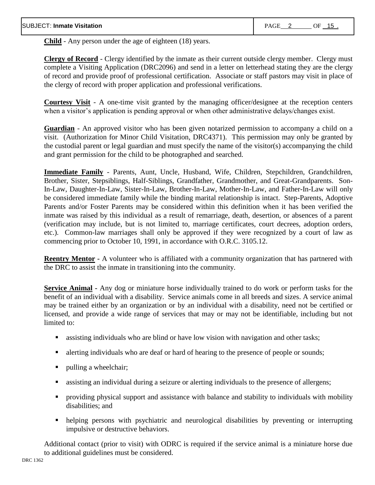**Child** - Any person under the age of eighteen (18) years.

**Clergy of Record** - Clergy identified by the inmate as their current outside clergy member. Clergy must complete a Visiting Application (DRC2096) and send in a letter on letterhead stating they are the clergy of record and provide proof of professional certification. Associate or staff pastors may visit in place of the clergy of record with proper application and professional verifications.

**Courtesy Visit** - A one-time visit granted by the managing officer/designee at the reception centers when a visitor's application is pending approval or when other administrative delays/changes exist.

**Guardian** - An approved visitor who has been given notarized permission to accompany a child on a visit. (Authorization for Minor Child Visitation, DRC4371). This permission may only be granted by the custodial parent or legal guardian and must specify the name of the visitor(s) accompanying the child and grant permission for the child to be photographed and searched.

**Immediate Family** - Parents, Aunt, Uncle, Husband, Wife, Children, Stepchildren, Grandchildren, Brother, Sister, Stepsiblings, Half-Siblings, Grandfather, Grandmother, and Great-Grandparents. Son-In-Law, Daughter-In-Law, Sister-In-Law, Brother-In-Law, Mother-In-Law, and Father-In-Law will only be considered immediate family while the binding marital relationship is intact. Step-Parents, Adoptive Parents and/or Foster Parents may be considered within this definition when it has been verified the inmate was raised by this individual as a result of remarriage, death, desertion, or absences of a parent (verification may include, but is not limited to, marriage certificates, court decrees, adoption orders, etc.). Common-law marriages shall only be approved if they were recognized by a court of law as commencing prior to October 10, 1991, in accordance with O.R.C. 3105.12.

**Reentry Mentor -** A volunteer who is affiliated with a community organization that has partnered with the DRC to assist the inmate in transitioning into the community.

**Service Animal -** Any dog or miniature horse individually trained to do work or perform tasks for the benefit of an individual with a disability. Service animals come in all breeds and sizes. A service animal may be trained either by an organization or by an individual with a disability, need not be certified or licensed, and provide a wide range of services that may or may not be identifiable, including but not limited to:

- assisting individuals who are blind or have low vision with navigation and other tasks;
- alerting individuals who are deaf or hard of hearing to the presence of people or sounds;
- pulling a wheelchair;
- assisting an individual during a seizure or alerting individuals to the presence of allergens;
- providing physical support and assistance with balance and stability to individuals with mobility disabilities; and
- helping persons with psychiatric and neurological disabilities by preventing or interrupting impulsive or destructive behaviors.

Additional contact (prior to visit) with ODRC is required if the service animal is a miniature horse due to additional guidelines must be considered.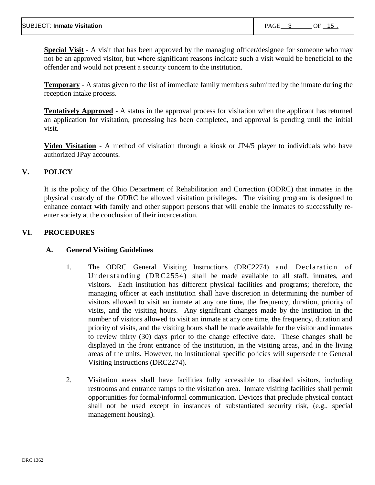**Special Visit** - A visit that has been approved by the managing officer/designee for someone who may not be an approved visitor, but where significant reasons indicate such a visit would be beneficial to the offender and would not present a security concern to the institution.

**Temporary** - A status given to the list of immediate family members submitted by the inmate during the reception intake process.

**Tentatively Approved** - A status in the approval process for visitation when the applicant has returned an application for visitation, processing has been completed, and approval is pending until the initial visit.

**Video Visitation** - A method of visitation through a kiosk or JP4/5 player to individuals who have authorized JPay accounts.

### **V. POLICY**

It is the policy of the Ohio Department of Rehabilitation and Correction (ODRC) that inmates in the physical custody of the ODRC be allowed visitation privileges. The visiting program is designed to enhance contact with family and other support persons that will enable the inmates to successfully reenter society at the conclusion of their incarceration.

### **VI. PROCEDURES**

### **A. General Visiting Guidelines**

- 1. The ODRC General Visiting Instructions (DRC2274) and Declaration of Understanding (DRC2554) shall be made available to all staff, inmates, and visitors. Each institution has different physical facilities and programs; therefore, the managing officer at each institution shall have discretion in determining the number of visitors allowed to visit an inmate at any one time, the frequency, duration, priority of visits, and the visiting hours. Any significant changes made by the institution in the number of visitors allowed to visit an inmate at any one time, the frequency, duration and priority of visits, and the visiting hours shall be made available for the visitor and inmates to review thirty (30) days prior to the change effective date. These changes shall be displayed in the front entrance of the institution, in the visiting areas, and in the living areas of the units. However, no institutional specific policies will supersede the General Visiting Instructions (DRC2274).
- 2. Visitation areas shall have facilities fully accessible to disabled visitors, including restrooms and entrance ramps to the visitation area. Inmate visiting facilities shall permit opportunities for formal/informal communication. Devices that preclude physical contact shall not be used except in instances of substantiated security risk, (e.g., special management housing).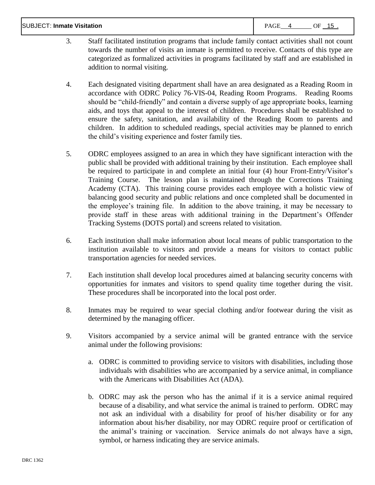| <b>SUBJECT: Inmate Visitation</b><br><b>PAGE</b> |  | OF | -15 |
|--------------------------------------------------|--|----|-----|
|--------------------------------------------------|--|----|-----|

- 3. Staff facilitated institution programs that include family contact activities shall not count towards the number of visits an inmate is permitted to receive. Contacts of this type are categorized as formalized activities in programs facilitated by staff and are established in addition to normal visiting.
- 4. Each designated visiting department shall have an area designated as a Reading Room in accordance with ODRC Policy 76-VIS-04, Reading Room Programs. Reading Rooms should be "child-friendly" and contain a diverse supply of age appropriate books, learning aids, and toys that appeal to the interest of children. Procedures shall be established to ensure the safety, sanitation, and availability of the Reading Room to parents and children. In addition to scheduled readings, special activities may be planned to enrich the child's visiting experience and foster family ties.
- 5. ODRC employees assigned to an area in which they have significant interaction with the public shall be provided with additional training by their institution. Each employee shall be required to participate in and complete an initial four (4) hour Front-Entry/Visitor's Training Course. The lesson plan is maintained through the Corrections Training Academy (CTA). This training course provides each employee with a holistic view of balancing good security and public relations and once completed shall be documented in the employee's training file. In addition to the above training, it may be necessary to provide staff in these areas with additional training in the Department's Offender Tracking Systems (DOTS portal) and screens related to visitation.
- 6. Each institution shall make information about local means of public transportation to the institution available to visitors and provide a means for visitors to contact public transportation agencies for needed services.
- 7. Each institution shall develop local procedures aimed at balancing security concerns with opportunities for inmates and visitors to spend quality time together during the visit. These procedures shall be incorporated into the local post order.
- 8. Inmates may be required to wear special clothing and/or footwear during the visit as determined by the managing officer.
- 9. Visitors accompanied by a service animal will be granted entrance with the service animal under the following provisions:
	- a. ODRC is committed to providing service to visitors with disabilities, including those individuals with disabilities who are accompanied by a service animal, in compliance with the Americans with Disabilities Act (ADA).
	- b. ODRC may ask the person who has the animal if it is a service animal required because of a disability, and what service the animal is trained to perform. ODRC may not ask an individual with a disability for proof of his/her disability or for any information about his/her disability, nor may ODRC require proof or certification of the animal's training or vaccination. Service animals do not always have a sign, symbol, or harness indicating they are service animals.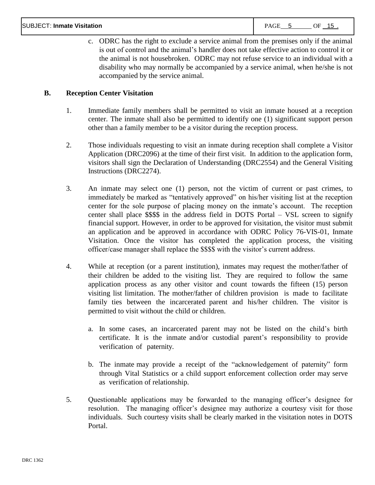c. ODRC has the right to exclude a service animal from the premises only if the animal is out of control and the animal's handler does not take effective action to control it or the animal is not housebroken. ODRC may not refuse service to an individual with a disability who may normally be accompanied by a service animal, when he/she is not accompanied by the service animal.

### **B. Reception Center Visitation**

- 1. Immediate family members shall be permitted to visit an inmate housed at a reception center. The inmate shall also be permitted to identify one (1) significant support person other than a family member to be a visitor during the reception process.
- 2. Those individuals requesting to visit an inmate during reception shall complete a Visitor Application (DRC2096) at the time of their first visit. In addition to the application form, visitors shall sign the Declaration of Understanding (DRC2554) and the General Visiting Instructions (DRC2274).
- 3. An inmate may select one (1) person, not the victim of current or past crimes, to immediately be marked as "tentatively approved" on his/her visiting list at the reception center for the sole purpose of placing money on the inmate's account. The reception center shall place \$\$\$\$ in the address field in DOTS Portal – VSL screen to signify financial support. However, in order to be approved for visitation, the visitor must submit an application and be approved in accordance with ODRC Policy 76-VIS-01, Inmate Visitation. Once the visitor has completed the application process, the visiting officer/case manager shall replace the \$\$\$\$ with the visitor's current address.
- 4. While at reception (or a parent institution), inmates may request the mother/father of their children be added to the visiting list. They are required to follow the same application process as any other visitor and count towards the fifteen (15) person visiting list limitation. The mother/father of children provision is made to facilitate family ties between the incarcerated parent and his/her children. The visitor is permitted to visit without the child or children.
	- a. In some cases, an incarcerated parent may not be listed on the child's birth certificate. It is the inmate and/or custodial parent's responsibility to provide verification of paternity.
	- b. The inmate may provide a receipt of the "acknowledgement of paternity" form through Vital Statistics or a child support enforcement collection order may serve as verification of relationship.
- 5. Questionable applications may be forwarded to the managing officer's designee for resolution. The managing officer's designee may authorize a courtesy visit for those individuals. Such courtesy visits shall be clearly marked in the visitation notes in DOTS Portal.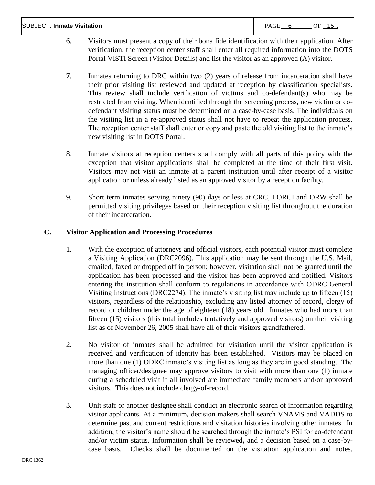| <b>SUBJECT: Inmate Visitation</b><br>PAGE<br>OF<br>- 15 |
|---------------------------------------------------------|
|                                                         |

- 6. Visitors must present a copy of their bona fide identification with their application. After verification, the reception center staff shall enter all required information into the DOTS Portal VISTI Screen (Visitor Details) and list the visitor as an approved (A) visitor.
- **7**. Inmates returning to DRC within two (2) years of release from incarceration shall have their prior visiting list reviewed and updated at reception by classification specialists. This review shall include verification of victims and co-defendant(s) who may be restricted from visiting. When identified through the screening process, new victim or codefendant visiting status must be determined on a case-by-case basis. The individuals on the visiting list in a re-approved status shall not have to repeat the application process. The reception center staff shall enter or copy and paste the old visiting list to the inmate's new visiting list in DOTS Portal.
- 8. Inmate visitors at reception centers shall comply with all parts of this policy with the exception that visitor applications shall be completed at the time of their first visit. Visitors may not visit an inmate at a parent institution until after receipt of a visitor application or unless already listed as an approved visitor by a reception facility.
- 9. Short term inmates serving ninety (90) days or less at CRC, LORCI and ORW shall be permitted visiting privileges based on their reception visiting list throughout the duration of their incarceration.

### **C. Visitor Application and Processing Procedures**

- 1. With the exception of attorneys and official visitors, each potential visitor must complete a Visiting Application (DRC2096). This application may be sent through the U.S. Mail, emailed, faxed or dropped off in person; however, visitation shall not be granted until the application has been processed and the visitor has been approved and notified. Visitors entering the institution shall conform to regulations in accordance with ODRC General Visiting Instructions (DRC2274). The inmate's visiting list may include up to fifteen (15) visitors, regardless of the relationship, excluding any listed attorney of record, clergy of record or children under the age of eighteen (18) years old. Inmates who had more than fifteen (15) visitors (this total includes tentatively and approved visitors) on their visiting list as of November 26, 2005 shall have all of their visitors grandfathered.
- 2. No visitor of inmates shall be admitted for visitation until the visitor application is received and verification of identity has been established. Visitors may be placed on more than one (1) ODRC inmate's visiting list as long as they are in good standing. The managing officer/designee may approve visitors to visit with more than one (1) inmate during a scheduled visit if all involved are immediate family members and/or approved visitors. This does not include clergy-of-record.
- 3. Unit staff or another designee shall conduct an electronic search of information regarding visitor applicants. At a minimum, decision makers shall search VNAMS and VADDS to determine past and current restrictions and visitation histories involving other inmates. In addition, the visitor's name should be searched through the inmate's PSI for co-defendant and/or victim status. Information shall be reviewed**,** and a decision based on a case-bycase basis. Checks shall be documented on the visitation application and notes.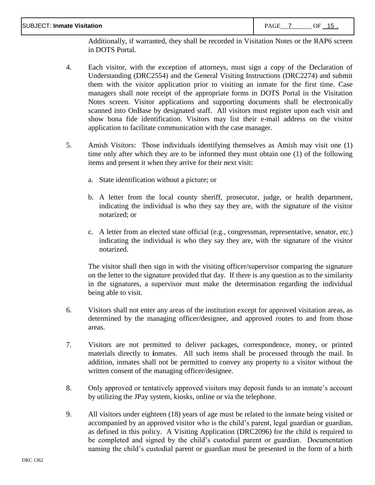Additionally, if warranted, they shall be recorded in Visitation Notes or the RAP6 screen in DOTS Portal.

- 4. Each visitor, with the exception of attorneys, must sign a copy of the Declaration of Understanding (DRC2554) and the General Visiting Instructions (DRC2274) and submit them with the visitor application prior to visiting an inmate for the first time. Case managers shall note receipt of the appropriate forms in DOTS Portal in the Visitation Notes screen. Visitor applications and supporting documents shall be electronically scanned into OnBase by designated staff. All visitors must register upon each visit and show bona fide identification. Visitors may list their e-mail address on the visitor application to facilitate communication with the case manager.
- 5. Amish Visitors: Those individuals identifying themselves as Amish may visit one (1) time only after which they are to be informed they must obtain one (1) of the following items and present it when they arrive for their next visit:
	- a. State identification without a picture; or
	- b. A letter from the local county sheriff, prosecutor, judge, or health department, indicating the individual is who they say they are, with the signature of the visitor notarized; or
	- c. A letter from an elected state official (e.g., congressman, representative, senator, etc.) indicating the individual is who they say they are, with the signature of the visitor notarized.

The visitor shall then sign in with the visiting officer/supervisor comparing the signature on the letter to the signature provided that day. If there is any question as to the similarity in the signatures, a supervisor must make the determination regarding the individual being able to visit.

- 6. Visitors shall not enter any areas of the institution except for approved visitation areas, as determined by the managing officer/designee, and approved routes to and from those areas.
- 7. Visitors are not permitted to deliver packages, correspondence, money, or printed materials directly to **i**nmates. All such items shall be processed through the mail. In addition, inmates shall not be permitted to convey any property to a visitor without the written consent of the managing officer/designee.
- 8. Only approved or tentatively approved visitors may deposit funds to an inmate's account by utilizing the JPay system, kiosks, online or via the telephone.
- 9. All visitors under eighteen (18) years of age must be related to the inmate being visited or accompanied by an approved visitor who is the child's parent, legal guardian or guardian, as defined in this policy. A Visiting Application (DRC2096) for the child is required to be completed and signed by the child's custodial parent or guardian. Documentation naming the child's custodial parent or guardian must be presented in the form of a birth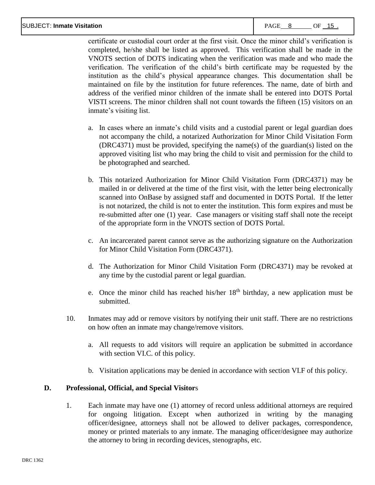#### SUBJECT: **Inmate Visitation** PAGE 8 OF 15 .

certificate or custodial court order at the first visit. Once the minor child's verification is completed, he/she shall be listed as approved. This verification shall be made in the VNOTS section of DOTS indicating when the verification was made and who made the verification. The verification of the child's birth certificate may be requested by the institution as the child's physical appearance changes. This documentation shall be maintained on file by the institution for future references. The name, date of birth and address of the verified minor children of the inmate shall be entered into DOTS Portal VISTI screens. The minor children shall not count towards the fifteen (15) visitors on an inmate's visiting list.

- a. In cases where an inmate's child visits and a custodial parent or legal guardian does not accompany the child, a notarized Authorization for Minor Child Visitation Form (DRC4371) must be provided, specifying the name(s) of the guardian(s) listed on the approved visiting list who may bring the child to visit and permission for the child to be photographed and searched.
- b. This notarized Authorization for Minor Child Visitation Form (DRC4371) may be mailed in or delivered at the time of the first visit, with the letter being electronically scanned into OnBase by assigned staff and documented in DOTS Portal. If the letter is not notarized, the child is not to enter the institution. This form expires and must be re-submitted after one (1) year. Case managers or visiting staff shall note the receipt of the appropriate form in the VNOTS section of DOTS Portal.
- c. An incarcerated parent cannot serve as the authorizing signature on the Authorization for Minor Child Visitation Form (DRC4371).
- d. The Authorization for Minor Child Visitation Form (DRC4371) may be revoked at any time by the custodial parent or legal guardian.
- e. Once the minor child has reached his/her 18<sup>th</sup> birthday, a new application must be submitted.
- 10. Inmates may add or remove visitors by notifying their unit staff. There are no restrictions on how often an inmate may change/remove visitors.
	- a. All requests to add visitors will require an application be submitted in accordance with section VI.C. of this policy.
	- b. Visitation applications may be denied in accordance with section VI.F of this policy.

### **D. Professional, Official, and Special Visitor**s

1. Each inmate may have one (1) attorney of record unless additional attorneys are required for ongoing litigation. Except when authorized in writing by the managing officer/designee, attorneys shall not be allowed to deliver packages, correspondence, money or printed materials to any inmate. The managing officer/designee may authorize the attorney to bring in recording devices, stenographs, etc.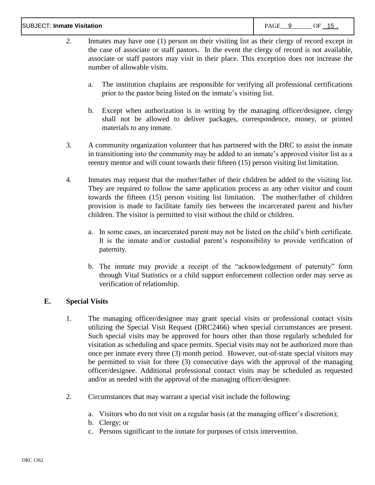#### SUBJECT: **Inmate Visitation** PAGE 9 OF 15 .

- 2. Inmates may have one (1) person on their visiting list as their clergy of record except in the case of associate or staff pastors. In the event the clergy of record is not available, associate or staff pastors may visit in their place. This exception does not increase the number of allowable visits.
	- a. The institution chaplains are responsible for verifying all professional certifications prior to the pastor being listed on the inmate's visiting list.
	- b. Except when authorization is in writing by the managing officer/designee, clergy shall not be allowed to deliver packages, correspondence, money, or printed materials to any inmate.
- 3. A community organization volunteer that has partnered with the DRC to assist the inmate in transitioning into the community may be added to an inmate's approved visitor list as a reentry mentor and will count towards their fifteen (15) person visiting list limitation.
- 4. Inmates may request that the mother/father of their children be added to the visiting list. They are required to follow the same application process as any other visitor and count towards the fifteen (15) person visiting list limitation. The mother/father of children provision is made to facilitate family ties between the incarcerated parent and his/her children. The visitor is permitted to visit without the child or children.
	- a. In some cases, an incarcerated parent may not be listed on the child's birth certificate. It is the inmate and/or custodial parent's responsibility to provide verification of paternity.
	- b. The inmate may provide a receipt of the "acknowledgement of paternity" form through Vital Statistics or a child support enforcement collection order may serve as verification of relationship.

### **E. Special Visits**

- 1. The managing officer/designee may grant special visits or professional contact visits utilizing the Special Visit Request (DRC2466) when special circumstances are present. Such special visits may be approved for hours other than those regularly scheduled for visitation as scheduling and space permits. Special visits may not be authorized more than once per inmate every three (3) month period. However, out-of-state special visitors may be permitted to visit for three (3) consecutive days with the approval of the managing officer/designee. Additional professional contact visits may be scheduled as requested and/or as needed with the approval of the managing officer/designee.
- 2. Circumstances that may warrant a special visit include the following:
	- a. Visitors who do not visit on a regular basis (at the managing officer's discretion);
	- b. Clergy; or
	- c. Persons significant to the inmate for purposes of crisis intervention.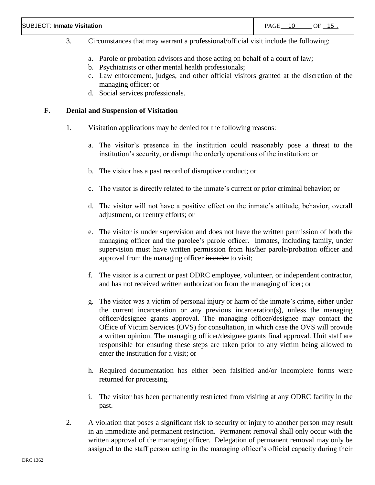- 3. Circumstances that may warrant a professional/official visit include the following:
	- a. Parole or probation advisors and those acting on behalf of a court of law;
	- b. Psychiatrists or other mental health professionals;
	- c. Law enforcement, judges, and other official visitors granted at the discretion of the managing officer; or
	- d. Social services professionals.

#### **F. Denial and Suspension of Visitation**

- 1. Visitation applications may be denied for the following reasons:
	- a. The visitor's presence in the institution could reasonably pose a threat to the institution's security, or disrupt the orderly operations of the institution; or
	- b. The visitor has a past record of disruptive conduct; or
	- c. The visitor is directly related to the inmate's current or prior criminal behavior; or
	- d. The visitor will not have a positive effect on the inmate's attitude, behavior, overall adjustment, or reentry efforts; or
	- e. The visitor is under supervision and does not have the written permission of both the managing officer and the parolee's parole officer. Inmates, including family, under supervision must have written permission from his/her parole/probation officer and approval from the managing officer in order to visit;
	- f. The visitor is a current or past ODRC employee, volunteer, or independent contractor, and has not received written authorization from the managing officer; or
	- g. The visitor was a victim of personal injury or harm of the inmate's crime, either under the current incarceration or any previous incarceration(s), unless the managing officer/designee grants approval. The managing officer/designee may contact the Office of Victim Services (OVS) for consultation, in which case the OVS will provide a written opinion. The managing officer/designee grants final approval. Unit staff are responsible for ensuring these steps are taken prior to any victim being allowed to enter the institution for a visit; or
	- h. Required documentation has either been falsified and/or incomplete forms were returned for processing.
	- i. The visitor has been permanently restricted from visiting at any ODRC facility in the past.
- 2. A violation that poses a significant risk to security or injury to another person may result in an immediate and permanent restriction. Permanent removal shall only occur with the written approval of the managing officer. Delegation of permanent removal may only be assigned to the staff person acting in the managing officer's official capacity during their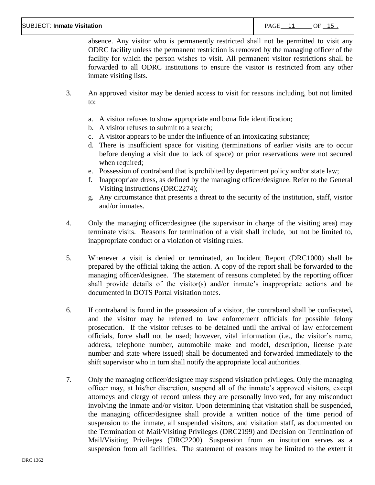absence. Any visitor who is permanently restricted shall not be permitted to visit any ODRC facility unless the permanent restriction is removed by the managing officer of the facility for which the person wishes to visit. All permanent visitor restrictions shall be forwarded to all ODRC institutions to ensure the visitor is restricted from any other inmate visiting lists.

- 3. An approved visitor may be denied access to visit for reasons including, but not limited to:
	- a. A visitor refuses to show appropriate and bona fide identification;
	- b. A visitor refuses to submit to a search;
	- c. A visitor appears to be under the influence of an intoxicating substance;
	- d. There is insufficient space for visiting (terminations of earlier visits are to occur before denying a visit due to lack of space) or prior reservations were not secured when required;
	- e. Possession of contraband that is prohibited by department policy and/or state law;
	- f. Inappropriate dress, as defined by the managing officer/designee. Refer to the General Visiting Instructions (DRC2274);
	- g. Any circumstance that presents a threat to the security of the institution, staff, visitor and/or inmates.
- 4. Only the managing officer/designee (the supervisor in charge of the visiting area) may terminate visits. Reasons for termination of a visit shall include, but not be limited to, inappropriate conduct or a violation of visiting rules.
- 5. Whenever a visit is denied or terminated, an Incident Report (DRC1000) shall be prepared by the official taking the action. A copy of the report shall be forwarded to the managing officer/designee. The statement of reasons completed by the reporting officer shall provide details of the visitor(s) and/or inmate's inappropriate actions and be documented in DOTS Portal visitation notes.
- 6. If contraband is found in the possession of a visitor, the contraband shall be confiscated**,** and the visitor may be referred to law enforcement officials for possible felony prosecution. If the visitor refuses to be detained until the arrival of law enforcement officials, force shall not be used; however, vital information (i.e., the visitor's name, address, telephone number, automobile make and model, description, license plate number and state where issued) shall be documented and forwarded immediately to the shift supervisor who in turn shall notify the appropriate local authorities.
- 7. Only the managing officer/designee may suspend visitation privileges. Only the managing officer may, at his/her discretion, suspend all of the inmate's approved visitors, except attorneys and clergy of record unless they are personally involved, for any misconduct involving the inmate and/or visitor. Upon determining that visitation shall be suspended, the managing officer/designee shall provide a written notice of the time period of suspension to the inmate, all suspended visitors, and visitation staff, as documented on the Termination of Mail/Visiting Privileges (DRC2199) and Decision on Termination of Mail/Visiting Privileges (DRC2200). Suspension from an institution serves as a suspension from all facilities. The statement of reasons may be limited to the extent it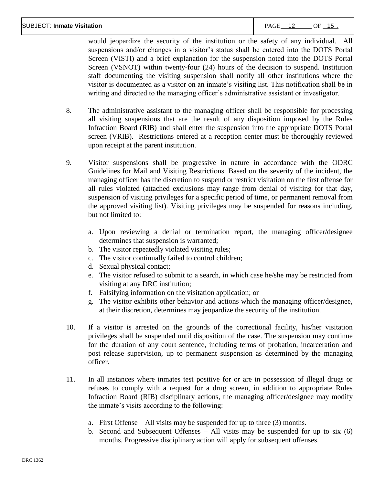would jeopardize the security of the institution or the safety of any individual. All suspensions and/or changes in a visitor's status shall be entered into the DOTS Portal Screen (VISTI) and a brief explanation for the suspension noted into the DOTS Portal Screen (VSNOT) within twenty-four (24) hours of the decision to suspend. Institution staff documenting the visiting suspension shall notify all other institutions where the visitor is documented as a visitor on an inmate's visiting list. This notification shall be in writing and directed to the managing officer's administrative assistant or investigator.

- 8. The administrative assistant to the managing officer shall be responsible for processing all visiting suspensions that are the result of any disposition imposed by the Rules Infraction Board (RIB) and shall enter the suspension into the appropriate DOTS Portal screen (VRIB). Restrictions entered at a reception center must be thoroughly reviewed upon receipt at the parent institution.
- 9. Visitor suspensions shall be progressive in nature in accordance with the ODRC Guidelines for Mail and Visiting Restrictions. Based on the severity of the incident, the managing officer has the discretion to suspend or restrict visitation on the first offense for all rules violated (attached exclusions may range from denial of visiting for that day, suspension of visiting privileges for a specific period of time, or permanent removal from the approved visiting list). Visiting privileges may be suspended for reasons including, but not limited to:
	- a. Upon reviewing a denial or termination report, the managing officer/designee determines that suspension is warranted;
	- b. The visitor repeatedly violated visiting rules;
	- c. The visitor continually failed to control children;
	- d. Sexual physical contact;
	- e. The visitor refused to submit to a search, in which case he/she may be restricted from visiting at any DRC institution;
	- f. Falsifying information on the visitation application; or
	- g. The visitor exhibits other behavior and actions which the managing officer/designee, at their discretion, determines may jeopardize the security of the institution.
- 10. If a visitor is arrested on the grounds of the correctional facility, his/her visitation privileges shall be suspended until disposition of the case. The suspension may continue for the duration of any court sentence, including terms of probation, incarceration and post release supervision, up to permanent suspension as determined by the managing officer.
- 11. In all instances where inmates test positive for or are in possession of illegal drugs or refuses to comply with a request for a drug screen, in addition to appropriate Rules Infraction Board (RIB) disciplinary actions, the managing officer/designee may modify the inmate's visits according to the following:
	- a. First Offense All visits may be suspended for up to three (3) months.
	- b. Second and Subsequent Offenses All visits may be suspended for up to six (6) months. Progressive disciplinary action will apply for subsequent offenses.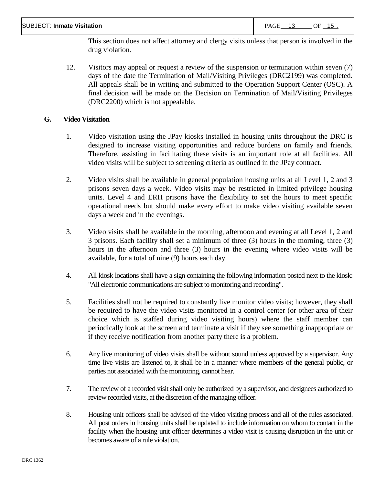This section does not affect attorney and clergy visits unless that person is involved in the drug violation.

12. Visitors may appeal or request a review of the suspension or termination within seven (7) days of the date the Termination of Mail/Visiting Privileges (DRC2199) was completed. All appeals shall be in writing and submitted to the Operation Support Center (OSC). A final decision will be made on the Decision on Termination of Mail/Visiting Privileges (DRC2200) which is not appealable.

### **G. Video Visitation**

- 1. Video visitation using the JPay kiosks installed in housing units throughout the DRC is designed to increase visiting opportunities and reduce burdens on family and friends. Therefore, assisting in facilitating these visits is an important role at all facilities. All video visits will be subject to screening criteria as outlined in the JPay contract.
- 2. Video visits shall be available in general population housing units at all Level 1, 2 and 3 prisons seven days a week. Video visits may be restricted in limited privilege housing units. Level 4 and ERH prisons have the flexibility to set the hours to meet specific operational needs but should make every effort to make video visiting available seven days a week and in the evenings.
- 3. Video visits shall be available in the morning, afternoon and evening at all Level 1, 2 and 3 prisons. Each facility shall set a minimum of three (3) hours in the morning, three (3) hours in the afternoon and three (3) hours in the evening where video visits will be available, for a total of nine (9) hours each day.
- 4. All kiosk locations shall have a sign containing the following information posted next to the kiosk: "All electronic communications are subject to monitoring and recording".
- 5. Facilities shall not be required to constantly live monitor video visits; however, they shall be required to have the video visits monitored in a control center (or other area of their choice which is staffed during video visiting hours) where the staff member can periodically look at the screen and terminate a visit if they see something inappropriate or if they receive notification from another party there is a problem.
- 6. Any live monitoring of video visits shall be without sound unless approved by a supervisor. Any time live visits are listened to, it shall be in a manner where members of the general public, or parties not associated with the monitoring, cannot hear.
- 7. The review of a recorded visit shall only be authorized by a supervisor, and designees authorized to review recorded visits, at the discretion of the managing officer.
- 8. Housing unit officers shall be advised of the video visiting process and all of the rules associated. All post orders in housing units shall be updated to include information on whom to contact in the facility when the housing unit officer determines a video visit is causing disruption in the unit or becomes aware of a rule violation.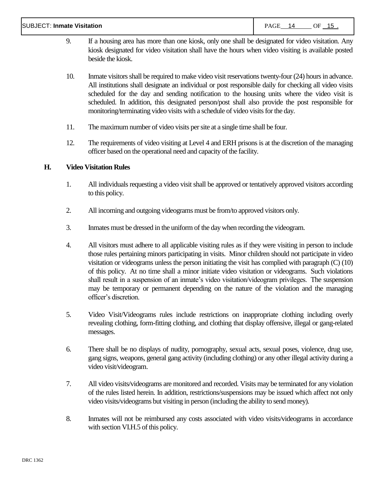#### SUBJECT: **Inmate Visitation PAGE 14 OF 15 .**

- 9. If a housing area has more than one kiosk, only one shall be designated for video visitation. Any kiosk designated for video visitation shall have the hours when video visiting is available posted beside the kiosk.
- 10. Inmate visitors shall be required to make video visit reservations twenty-four (24) hours in advance. All institutions shall designate an individual or post responsible daily for checking all video visits scheduled for the day and sending notification to the housing units where the video visit is scheduled. In addition, this designated person/post shall also provide the post responsible for monitoring/terminating video visits with a schedule of video visits for the day.
- 11. The maximum number of video visits per site at a single time shall be four.
- 12. The requirements of video visiting at Level 4 and ERH prisons is at the discretion of the managing officer based on the operational need and capacity of the facility.

## **H. Video Visitation Rules**

- 1. All individuals requesting a video visit shall be approved or tentatively approved visitors according to this policy.
- 2. All incoming and outgoing videograms must be from/to approved visitors only.
- 3. Inmates must be dressed in the uniform of the day when recording the videogram.
- 4. All visitors must adhere to all applicable visiting rules as if they were visiting in person to include those rules pertaining minors participating in visits. Minor children should not participate in video visitation or videograms unless the person initiating the visit has complied with paragraph (C) (10) of this policy. At no time shall a minor initiate video visitation or videograms. Such violations shall result in a suspension of an inmate's video visitation/videogram privileges. The suspension may be temporary or permanent depending on the nature of the violation and the managing officer's discretion.
- 5. Video Visit/Videograms rules include restrictions on inappropriate clothing including overly revealing clothing, form-fitting clothing, and clothing that display offensive, illegal or gang-related messages.
- 6. There shall be no displays of nudity, pornography, sexual acts, sexual poses, violence, drug use, gang signs, weapons, general gang activity (including clothing) or any other illegal activity during a video visit/videogram.
- 7. All video visits/videograms are monitored and recorded. Visits may be terminated for any violation of the rules listed herein. In addition, restrictions/suspensions may be issued which affect not only video visits/videograms but visiting in person (including the ability to send money).
- 8. Inmates will not be reimbursed any costs associated with video visits/videograms in accordance with section VI.H.5 of this policy.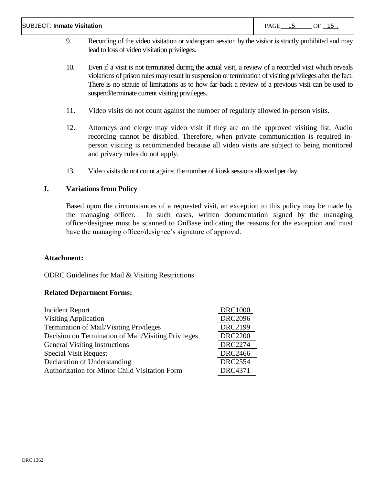#### SUBJECT: **Inmate Visitation** PAGE 15 OF 15 .

- 9. Recording of the video visitation or videogram session by the visitor is strictly prohibited and may lead to loss of video visitation privileges.
- 10. Even if a visit is not terminated during the actual visit, a review of a recorded visit which reveals violations of prison rules may result in suspension or termination of visiting privileges after the fact. There is no statute of limitations as to how far back a review of a previous visit can be used to suspend/terminate current visiting privileges.
- 11. Video visits do not count against the number of regularly allowed in-person visits.
- 12. Attorneys and clergy may video visit if they are on the approved visiting list. Audio recording cannot be disabled. Therefore, when private communication is required inperson visiting is recommended because all video visits are subject to being monitored and privacy rules do not apply.
- 13. Video visits do not count against the number of kiosk sessions allowed per day.

## **I. Variations from Policy**

Based upon the circumstances of a requested visit, an exception to this policy may be made by the managing officer. In such cases, written documentation signed by the managing officer/designee must be scanned to OnBase indicating the reasons for the exception and must have the managing officer/designee's signature of approval.

## **Attachment:**

ODRC Guidelines for Mail & Visiting Restrictions

## **Related Department Forms:**

| Incident Report                                      | <b>DRC1000</b> |
|------------------------------------------------------|----------------|
| <b>Visiting Application</b>                          | <b>DRC2096</b> |
| <b>Termination of Mail/Visiting Privileges</b>       | <b>DRC2199</b> |
| Decision on Termination of Mail/Visiting Privileges  | <b>DRC2200</b> |
| <b>General Visiting Instructions</b>                 | <b>DRC2274</b> |
| <b>Special Visit Request</b>                         | <b>DRC2466</b> |
| Declaration of Understanding                         | <b>DRC2554</b> |
| <b>Authorization for Minor Child Visitation Form</b> | <b>DRC4371</b> |
|                                                      |                |